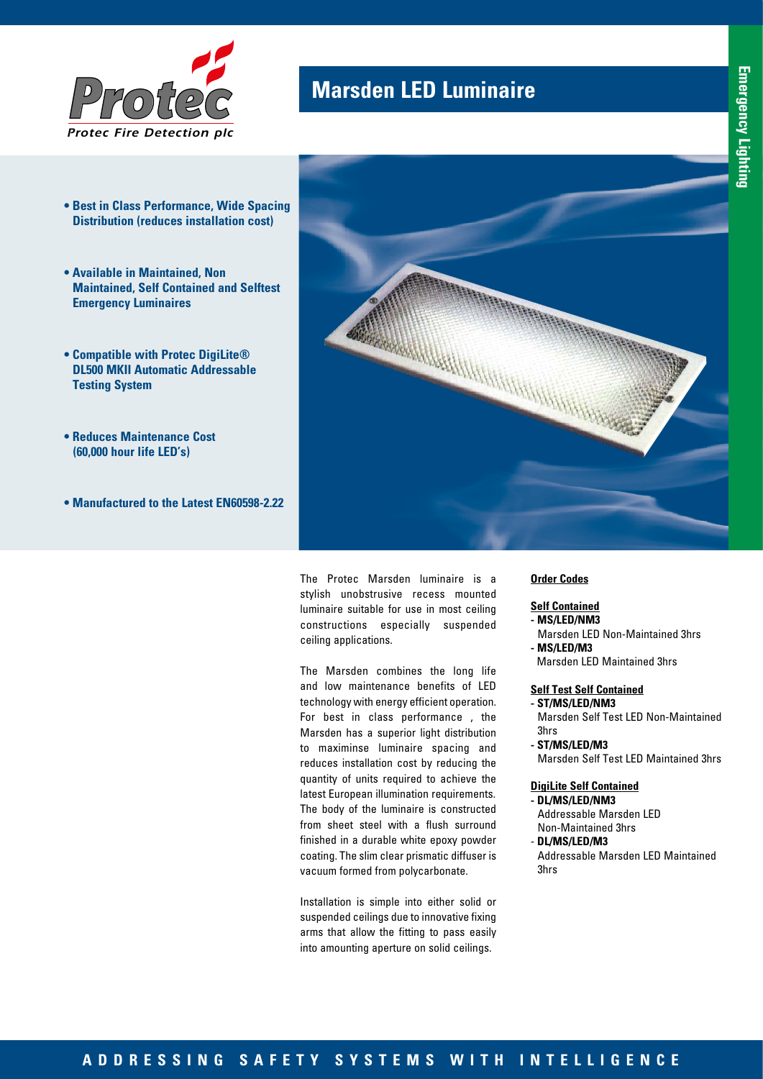

- **Best in Class Performance, Wide Spacing Distribution (reduces installation cost)**
- **Available in Maintained, Non Maintained, Self Contained and Selftest Emergency Luminaires**
- **Compatible with Protec DigiLite® DL500 MKII Automatic Addressable Testing System**
- **Reduces Maintenance Cost (60,000 hour life LED's)**
- **Manufactured to the Latest EN60598-2.22**



The Protec Marsden luminaire is a stylish unobstrusive recess mounted luminaire suitable for use in most ceiling constructions especially suspended ceiling applications.

The Marsden combines the long life and low maintenance benefits of LED technology with energy efficient operation. For best in class performance , the Marsden has a superior light distribution to maximinse luminaire spacing and reduces installation cost by reducing the quantity of units required to achieve the latest European illumination requirements. The body of the luminaire is constructed from sheet steel with a flush surround finished in a durable white epoxy powder coating. The slim clear prismatic diffuser is vacuum formed from polycarbonate.

Installation is simple into either solid or suspended ceilings due to innovative fixing arms that allow the fitting to pass easily into amounting aperture on solid ceilings.

### **Order Codes**

### **Self Contained**

- **MS/LED/NM3**
- Marsden LED Non-Maintained 3hrs **- MS/LED/M3**
- Marsden LED Maintained 3hrs

#### **Self Test Self Contained - ST/MS/LED/NM3**

Marsden Self Test LED Non-Maintained 3hrs

**- ST/MS/LED/M3** Marsden Self Test LED Maintained 3hrs

### **DigiLite Self Contained - DL/MS/LED/NM3**

Addressable Marsden LED Non-Maintained 3hrs

- **DL/MS/LED/M3** Addressable Marsden LED Maintained 3hrs